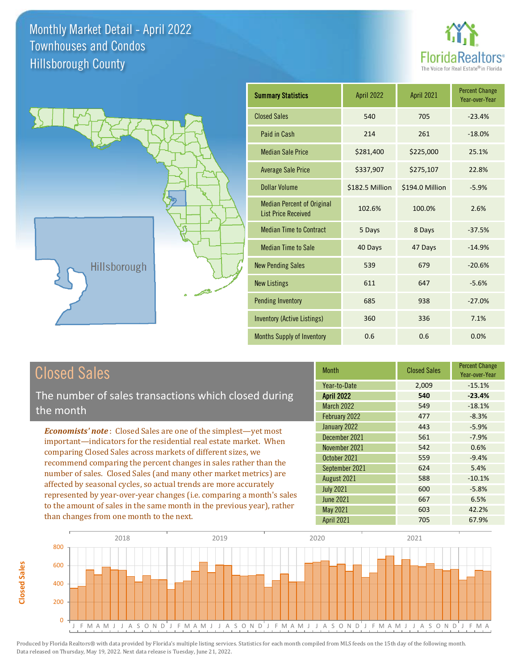



### Closed Sales

**Closed Sales**

**Closed Sales** 

The number of sales transactions which closed during the month

*Economists' note* : Closed Sales are one of the simplest—yet most important—indicators for the residential real estate market. When comparing Closed Sales across markets of different sizes, we recommend comparing the percent changes in sales rather than the number of sales. Closed Sales (and many other market metrics) are affected by seasonal cycles, so actual trends are more accurately represented by year-over-year changes (i.e. comparing a month's sales to the amount of sales in the same month in the previous year), rather than changes from one month to the next.

| <b>Month</b>      | <b>Closed Sales</b> | <b>Percent Change</b><br>Year-over-Year |
|-------------------|---------------------|-----------------------------------------|
| Year-to-Date      | 2,009               | $-15.1%$                                |
| <b>April 2022</b> | 540                 | $-23.4%$                                |
| <b>March 2022</b> | 549                 | $-18.1%$                                |
| February 2022     | 477                 | $-8.3%$                                 |
| January 2022      | 443                 | $-5.9%$                                 |
| December 2021     | 561                 | $-7.9%$                                 |
| November 2021     | 542                 | 0.6%                                    |
| October 2021      | 559                 | $-9.4%$                                 |
| September 2021    | 624                 | 5.4%                                    |
| August 2021       | 588                 | $-10.1%$                                |
| <b>July 2021</b>  | 600                 | $-5.8%$                                 |
| <b>June 2021</b>  | 667                 | 6.5%                                    |
| May 2021          | 603                 | 42.2%                                   |
| April 2021        | 705                 | 67.9%                                   |

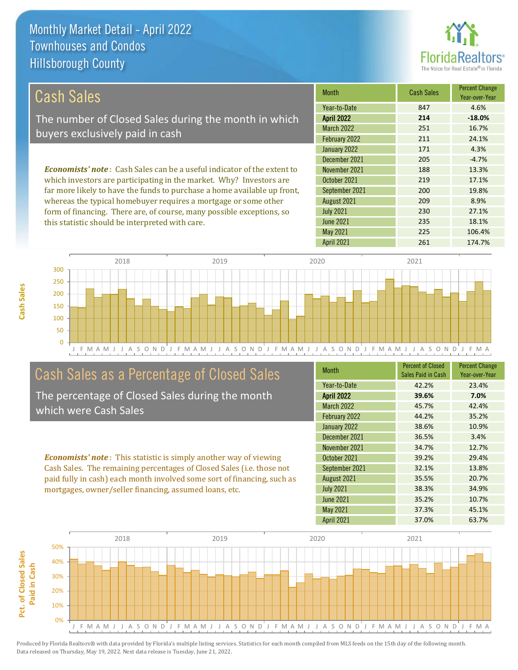this statistic should be interpreted with care.



235 18.1%

| Cash Sales                                                                     | <b>Month</b>      | <b>Cash Sales</b> | <b>Percent Change</b><br>Year-over-Year |
|--------------------------------------------------------------------------------|-------------------|-------------------|-----------------------------------------|
|                                                                                | Year-to-Date      | 847               | 4.6%                                    |
| The number of Closed Sales during the month in which                           | <b>April 2022</b> | 214               | $-18.0%$                                |
| buyers exclusively paid in cash                                                | <b>March 2022</b> | 251               | 16.7%                                   |
|                                                                                | February 2022     | 211               | 24.1%                                   |
|                                                                                | January 2022      | 171               | 4.3%                                    |
|                                                                                | December 2021     | 205               | $-4.7%$                                 |
| <b>Economists' note:</b> Cash Sales can be a useful indicator of the extent to | November 2021     | 188               | 13.3%                                   |
| which investors are participating in the market. Why? Investors are            | October 2021      | 219               | 17.1%                                   |
| far more likely to have the funds to purchase a home available up front,       | September 2021    | 200               | 19.8%                                   |
| whereas the typical homebuyer requires a mortgage or some other                | August 2021       | 209               | 8.9%                                    |
| form of financing. There are, of course, many possible exceptions, so          | <b>July 2021</b>  | 230               | 27.1%                                   |

June 2021

J F M A M J J A S O N D J F M A M J J A S O N D J F M A M J J A S O N D J F M A M J J A S O N D J F M A 0 50 100 150 200 250 300 2018 2019 2020 2021

### Cash Sales as a Percentage of Closed Sales

The percentage of Closed Sales during the month which were Cash Sales

*Economists' note* : This statistic is simply another way of viewing Cash Sales. The remaining percentages of Closed Sales (i.e. those not paid fully in cash) each month involved some sort of financing, such as mortgages, owner/seller financing, assumed loans, etc.

| <b>Month</b>      | <b>Percent of Closed</b><br>Sales Paid in Cash | <b>Percent Change</b><br>Year-over-Year |
|-------------------|------------------------------------------------|-----------------------------------------|
| Year-to-Date      | 42.2%                                          | 23.4%                                   |
| <b>April 2022</b> | 39.6%                                          | 7.0%                                    |
| <b>March 2022</b> | 45.7%                                          | 42.4%                                   |
| February 2022     | 44.2%                                          | 35.2%                                   |
| January 2022      | 38.6%                                          | 10.9%                                   |
| December 2021     | 36.5%                                          | 3.4%                                    |
| November 2021     | 34.7%                                          | 12.7%                                   |
| October 2021      | 39.2%                                          | 29.4%                                   |
| September 2021    | 32.1%                                          | 13.8%                                   |
| August 2021       | 35.5%                                          | 20.7%                                   |
| <b>July 2021</b>  | 38.3%                                          | 34.9%                                   |
| June 2021         | 35.2%                                          | 10.7%                                   |
| <b>May 2021</b>   | 37.3%                                          | 45.1%                                   |
| <b>April 2021</b> | 37.0%                                          | 63.7%                                   |

May 2021 225 225 106.4%

April 2021 261 261 174.7%

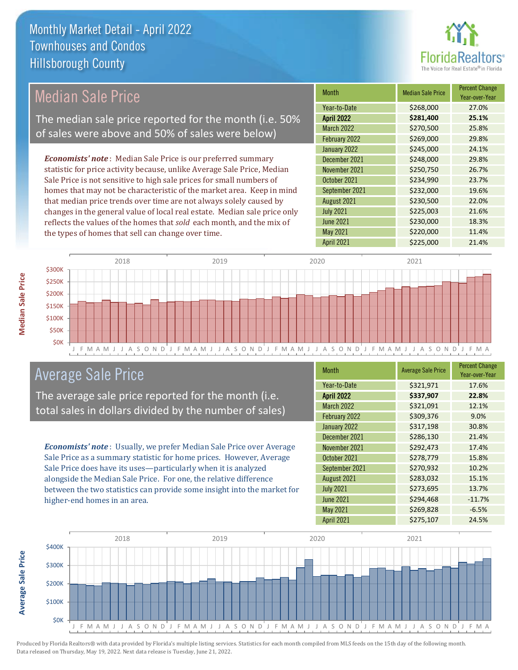

#### *Economists' note* : Median Sale Price is our preferred summary statistic for price activity because, unlike Average Sale Price, Median Sale Price is not sensitive to high sale prices for small numbers of homes that may not be characteristic of the market area. Keep in mind that median price trends over time are not always solely caused by changes in the general value of local real estate. Median sale price only reflects the values of the homes that *sold* each month, and the mix of the types of homes that sell can change over time. April 2021 **\$225,000** 21.4% June 2021 **\$230,000** 18.3% May 2021 **\$220,000** \$200,000 11.4% August 2021 **\$230,500** 22.0% July 2021 **\$225,003** 21.6% \$245,000 24.1% December 2021 **\$248,000** 29.8% September 2021 **\$232,000** 19.6% March 2022 \$270,500 25.8% February 2022 \$269,000 29.8% November 2021 **\$250,750** \$250,750 October 2021 **\$234,990** 23.7% January 2022 Month Median Sale Price Percent Change Year-over-Year April 2022 **\$281,400 25.1%** Year-to-Date \$268,000 27.0% Median Sale Price The median sale price reported for the month (i.e. 50% of sales were above and 50% of sales were below)



### Average Sale Price

The average sale price reported for the month (i.e. total sales in dollars divided by the number of sales)

*Economists' note* : Usually, we prefer Median Sale Price over Average Sale Price as a summary statistic for home prices. However, Average Sale Price does have its uses—particularly when it is analyzed alongside the Median Sale Price. For one, the relative difference between the two statistics can provide some insight into the market for higher-end homes in an area.

| Month             | <b>Average Sale Price</b> | <b>Percent Change</b><br>Year-over-Year |
|-------------------|---------------------------|-----------------------------------------|
| Year-to-Date      | \$321,971                 | 17.6%                                   |
| <b>April 2022</b> | \$337,907                 | 22.8%                                   |
| <b>March 2022</b> | \$321,091                 | 12.1%                                   |
| February 2022     | \$309,376                 | 9.0%                                    |
| January 2022      | \$317,198                 | 30.8%                                   |
| December 2021     | \$286,130                 | 21.4%                                   |
| November 2021     | \$292,473                 | 17.4%                                   |
| October 2021      | \$278,779                 | 15.8%                                   |
| September 2021    | \$270,932                 | 10.2%                                   |
| August 2021       | \$283,032                 | 15.1%                                   |
| <b>July 2021</b>  | \$273,695                 | 13.7%                                   |
| <b>June 2021</b>  | \$294,468                 | $-11.7%$                                |
| May 2021          | \$269,828                 | $-6.5%$                                 |
| April 2021        | \$275,107                 | 24.5%                                   |



Produced by Florida Realtors® with data provided by Florida's multiple listing services. Statistics for each month compiled from MLS feeds on the 15th day of the following month. Data released on Thursday, May 19, 2022. Next data release is Tuesday, June 21, 2022.

**Average Sale Price**

**Average Sale Price**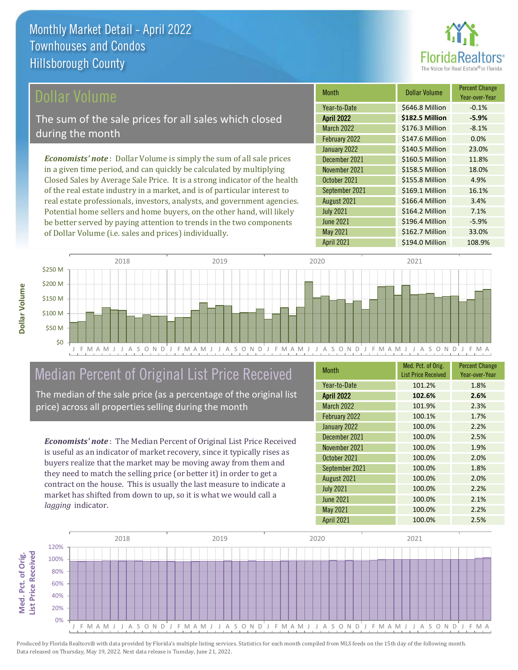

### ollar Volume

The sum of the sale prices for all sales which closed during the month

*Economists' note* : Dollar Volume is simply the sum of all sale prices in a given time period, and can quickly be calculated by multiplying Closed Sales by Average Sale Price. It is a strong indicator of the health of the real estate industry in a market, and is of particular interest to real estate professionals, investors, analysts, and government agencies. Potential home sellers and home buyers, on the other hand, will likely be better served by paying attention to trends in the two components of Dollar Volume (i.e. sales and prices) individually.

| <b>Month</b>      | Dollar Volume   | <b>Percent Change</b><br>Year-over-Year |
|-------------------|-----------------|-----------------------------------------|
| Year-to-Date      | \$646.8 Million | $-0.1%$                                 |
| <b>April 2022</b> | \$182.5 Million | $-5.9%$                                 |
| <b>March 2022</b> | \$176.3 Million | $-8.1%$                                 |
| February 2022     | \$147.6 Million | 0.0%                                    |
| January 2022      | \$140.5 Million | 23.0%                                   |
| December 2021     | \$160.5 Million | 11.8%                                   |
| November 2021     | \$158.5 Million | 18.0%                                   |
| October 2021      | \$155.8 Million | 4.9%                                    |
| September 2021    | \$169.1 Million | 16.1%                                   |
| August 2021       | \$166.4 Million | 3.4%                                    |
| <b>July 2021</b>  | \$164.2 Million | 7.1%                                    |
| <b>June 2021</b>  | \$196.4 Million | $-5.9%$                                 |
| May 2021          | \$162.7 Million | 33.0%                                   |
| April 2021        | \$194.0 Million | 108.9%                                  |



### Median Percent of Original List Price Received

The median of the sale price (as a percentage of the original list price) across all properties selling during the month

*Economists' note* : The Median Percent of Original List Price Received is useful as an indicator of market recovery, since it typically rises as buyers realize that the market may be moving away from them and they need to match the selling price (or better it) in order to get a contract on the house. This is usually the last measure to indicate a market has shifted from down to up, so it is what we would call a *lagging* indicator.

| <b>Month</b>      | Med. Pct. of Orig.<br><b>List Price Received</b> | <b>Percent Change</b><br>Year-over-Year |
|-------------------|--------------------------------------------------|-----------------------------------------|
| Year-to-Date      | 101.2%                                           | 1.8%                                    |
| <b>April 2022</b> | 102.6%                                           | 2.6%                                    |
| March 2022        | 101.9%                                           | 2.3%                                    |
| February 2022     | 100.1%                                           | 1.7%                                    |
| January 2022      | 100.0%                                           | 2.2%                                    |
| December 2021     | 100.0%                                           | 2.5%                                    |
| November 2021     | 100.0%                                           | 1.9%                                    |
| October 2021      | 100.0%                                           | 2.0%                                    |
| September 2021    | 100.0%                                           | 1.8%                                    |
| August 2021       | 100.0%                                           | 2.0%                                    |
| <b>July 2021</b>  | 100.0%                                           | 2.2%                                    |
| <b>June 2021</b>  | 100.0%                                           | 2.1%                                    |
| May 2021          | 100.0%                                           | 2.2%                                    |
| <b>April 2021</b> | 100.0%                                           | 2.5%                                    |

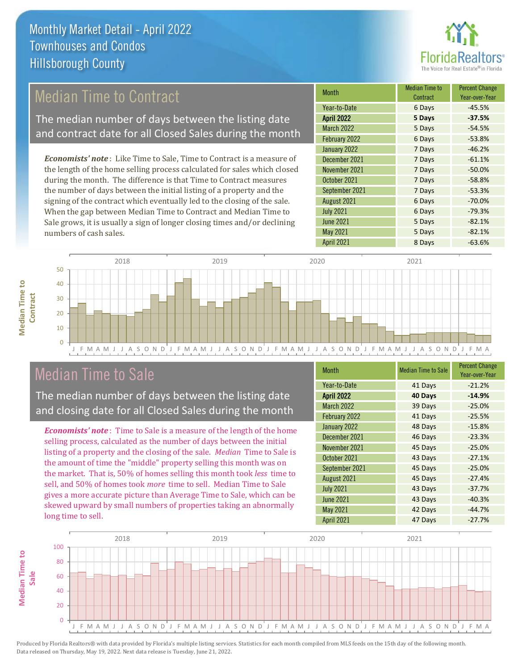

### Median Time to Contract

The median number of days between the listing date and contract date for all Closed Sales during the month

*Economists' note* : Like Time to Sale, Time to Contract is a measure of the length of the home selling process calculated for sales which closed during the month. The difference is that Time to Contract measures the number of days between the initial listing of a property and the signing of the contract which eventually led to the closing of the sale. When the gap between Median Time to Contract and Median Time to Sale grows, it is usually a sign of longer closing times and/or declining numbers of cash sales.

| <b>Month</b>      | Median Time to<br>Contract | <b>Percent Change</b><br>Year-over-Year |
|-------------------|----------------------------|-----------------------------------------|
| Year-to-Date      | 6 Days                     | $-45.5%$                                |
| <b>April 2022</b> | 5 Days                     | $-37.5%$                                |
| <b>March 2022</b> | 5 Days                     | $-54.5%$                                |
| February 2022     | 6 Days                     | $-53.8%$                                |
| January 2022      | 7 Days                     | $-46.2%$                                |
| December 2021     | 7 Days                     | $-61.1%$                                |
| November 2021     | 7 Days                     | $-50.0%$                                |
| October 2021      | 7 Days                     | $-58.8%$                                |
| September 2021    | 7 Days                     | $-53.3%$                                |
| August 2021       | 6 Days                     | $-70.0%$                                |
| <b>July 2021</b>  | 6 Days                     | $-79.3%$                                |
| <b>June 2021</b>  | 5 Days                     | $-82.1%$                                |
| May 2021          | 5 Days                     | $-82.1%$                                |
| <b>April 2021</b> | 8 Days                     | $-63.6%$                                |



### Median Time to Sale

**Median Time to** 

**Median Time to** 

The median number of days between the listing date and closing date for all Closed Sales during the month

*Economists' note* : Time to Sale is a measure of the length of the home selling process, calculated as the number of days between the initial listing of a property and the closing of the sale. *Median* Time to Sale is the amount of time the "middle" property selling this month was on the market. That is, 50% of homes selling this month took *less* time to sell, and 50% of homes took *more* time to sell. Median Time to Sale gives a more accurate picture than Average Time to Sale, which can be skewed upward by small numbers of properties taking an abnormally long time to sell.

| <b>Month</b>      | <b>Median Time to Sale</b> | <b>Percent Change</b><br>Year-over-Year |
|-------------------|----------------------------|-----------------------------------------|
| Year-to-Date      | 41 Days                    | $-21.2%$                                |
| <b>April 2022</b> | 40 Days                    | $-14.9%$                                |
| <b>March 2022</b> | 39 Days                    | $-25.0%$                                |
| February 2022     | 41 Days                    | $-25.5%$                                |
| January 2022      | 48 Days                    | $-15.8%$                                |
| December 2021     | 46 Days                    | $-23.3%$                                |
| November 2021     | 45 Days                    | $-25.0%$                                |
| October 2021      | 43 Days                    | $-27.1%$                                |
| September 2021    | 45 Days                    | $-25.0%$                                |
| August 2021       | 45 Days                    | $-27.4%$                                |
| <b>July 2021</b>  | 43 Days                    | $-37.7%$                                |
| <b>June 2021</b>  | 43 Days                    | $-40.3%$                                |
| May 2021          | 42 Days                    | $-44.7%$                                |
| April 2021        | 47 Days                    | $-27.7%$                                |

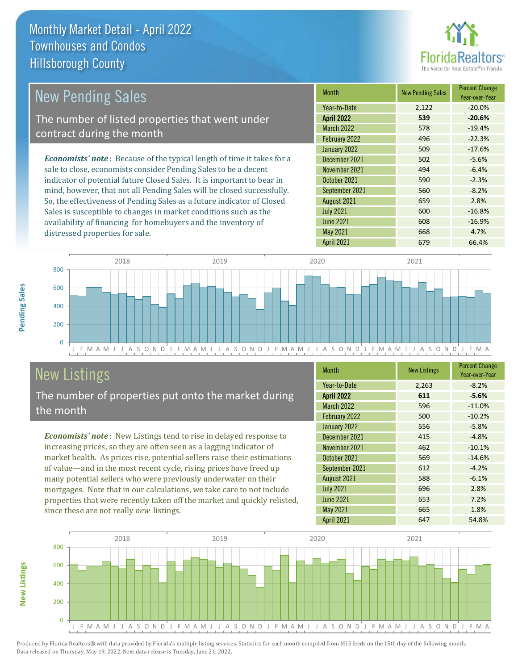distressed properties for sale.



| <b>New Pending Sales</b>                                                       | <b>Month</b>      | <b>New Pending Sales</b> | <b>Percent Change</b><br>Year-over-Year |
|--------------------------------------------------------------------------------|-------------------|--------------------------|-----------------------------------------|
|                                                                                | Year-to-Date      | 2,122                    | $-20.0\%$                               |
| The number of listed properties that went under                                | <b>April 2022</b> | 539                      | $-20.6%$                                |
| contract during the month                                                      | <b>March 2022</b> | 578                      | $-19.4%$                                |
|                                                                                | February 2022     | 496                      | $-22.3%$                                |
|                                                                                | January 2022      | 509                      | $-17.6%$                                |
| <b>Economists' note</b> : Because of the typical length of time it takes for a | December 2021     | 502                      | $-5.6%$                                 |
| sale to close, economists consider Pending Sales to be a decent                | November 2021     | 494                      | $-6.4%$                                 |
| indicator of potential future Closed Sales. It is important to bear in         | October 2021      | 590                      | $-2.3%$                                 |
| mind, however, that not all Pending Sales will be closed successfully.         | September 2021    | 560                      | $-8.2%$                                 |
| So, the effectiveness of Pending Sales as a future indicator of Closed         | August 2021       | 659                      | 2.8%                                    |
| Sales is susceptible to changes in market conditions such as the               | <b>July 2021</b>  | 600                      | $-16.8%$                                |



## New Listings

The number of properties put onto the market during the month

availability of financing for homebuyers and the inventory of

*Economists' note* : New Listings tend to rise in delayed response to increasing prices, so they are often seen as a lagging indicator of market health. As prices rise, potential sellers raise their estimations of value—and in the most recent cycle, rising prices have freed up many potential sellers who were previously underwater on their mortgages. Note that in our calculations, we take care to not include properties that were recently taken off the market and quickly relisted, since these are not really *new* listings.

| <b>Month</b>      | <b>New Listings</b> | <b>Percent Change</b><br>Year-over-Year |
|-------------------|---------------------|-----------------------------------------|
| Year-to-Date      | 2,263               | $-8.2%$                                 |
| <b>April 2022</b> | 611                 | $-5.6%$                                 |
| <b>March 2022</b> | 596                 | $-11.0%$                                |
| February 2022     | 500                 | $-10.2%$                                |
| January 2022      | 556                 | $-5.8%$                                 |
| December 2021     | 415                 | $-4.8%$                                 |
| November 2021     | 462                 | $-10.1%$                                |
| October 2021      | 569                 | $-14.6%$                                |
| September 2021    | 612                 | $-4.2%$                                 |
| August 2021       | 588                 | $-6.1%$                                 |
| <b>July 2021</b>  | 696                 | 2.8%                                    |
| <b>June 2021</b>  | 653                 | 7.2%                                    |
| May 2021          | 665                 | 1.8%                                    |
| April 2021        | 647                 | 54.8%                                   |

April 2021 679 66.4%

June 2021 **608** -16.9% May 2021 668 4.7%



**New Listings**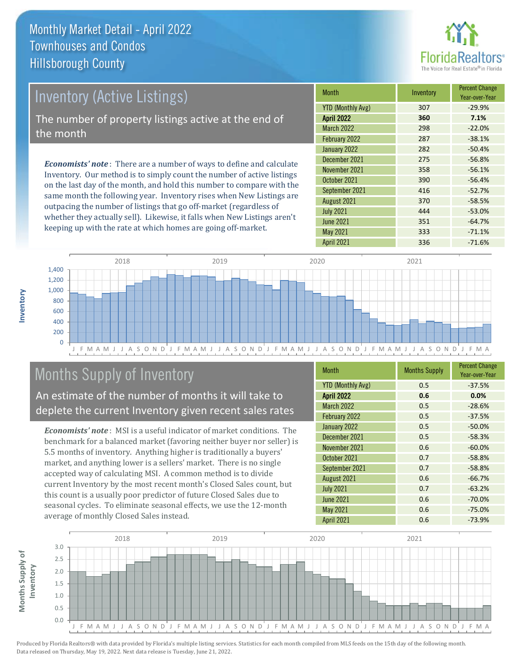

# Inventory (Active Listings) The number of property listings active at the end of the month

*Economists' note* : There are a number of ways to define and calculate Inventory. Our method is to simply count the number of active listings on the last day of the month, and hold this number to compare with the same month the following year. Inventory rises when New Listings are outpacing the number of listings that go off-market (regardless of whether they actually sell). Likewise, it falls when New Listings aren't keeping up with the rate at which homes are going off-market.

| <b>Month</b>             | Inventory | <b>Percent Change</b><br>Year-over-Year |
|--------------------------|-----------|-----------------------------------------|
| <b>YTD (Monthly Avg)</b> | 307       | $-29.9%$                                |
| <b>April 2022</b>        | 360       | 7.1%                                    |
| <b>March 2022</b>        | 298       | $-22.0%$                                |
| February 2022            | 287       | $-38.1%$                                |
| January 2022             | 282       | $-50.4%$                                |
| December 2021            | 275       | $-56.8%$                                |
| November 2021            | 358       | $-56.1%$                                |
| October 2021             | 390       | $-56.4%$                                |
| September 2021           | 416       | $-52.7%$                                |
| August 2021              | 370       | $-58.5%$                                |
| <b>July 2021</b>         | 444       | $-53.0%$                                |
| <b>June 2021</b>         | 351       | $-64.7%$                                |
| <b>May 2021</b>          | 333       | $-71.1%$                                |
| <b>April 2021</b>        | 336       | $-71.6%$                                |



### Months Supply of Inventory

An estimate of the number of months it will take to deplete the current Inventory given recent sales rates

*Economists' note* : MSI is a useful indicator of market conditions. The benchmark for a balanced market (favoring neither buyer nor seller) is 5.5 months of inventory. Anything higher is traditionally a buyers' market, and anything lower is a sellers' market. There is no single accepted way of calculating MSI. A common method is to divide current Inventory by the most recent month's Closed Sales count, but this count is a usually poor predictor of future Closed Sales due to seasonal cycles. To eliminate seasonal effects, we use the 12-month average of monthly Closed Sales instead.

| Month                    | <b>Months Supply</b> | <b>Percent Change</b><br>Year-over-Year |
|--------------------------|----------------------|-----------------------------------------|
| <b>YTD (Monthly Avg)</b> | 0.5                  | $-37.5%$                                |
| <b>April 2022</b>        | 0.6                  | 0.0%                                    |
| <b>March 2022</b>        | 0.5                  | $-28.6%$                                |
| February 2022            | 0.5                  | $-37.5%$                                |
| January 2022             | 0.5                  | $-50.0%$                                |
| December 2021            | 0.5                  | $-58.3%$                                |
| November 2021            | 0.6                  | $-60.0%$                                |
| October 2021             | 0.7                  | $-58.8%$                                |
| September 2021           | 0.7                  | $-58.8%$                                |
| August 2021              | 0.6                  | $-66.7%$                                |
| <b>July 2021</b>         | 0.7                  | $-63.2%$                                |
| <b>June 2021</b>         | 0.6                  | $-70.0%$                                |
| May 2021                 | 0.6                  | $-75.0%$                                |
| <b>April 2021</b>        | 0.6                  | $-73.9%$                                |

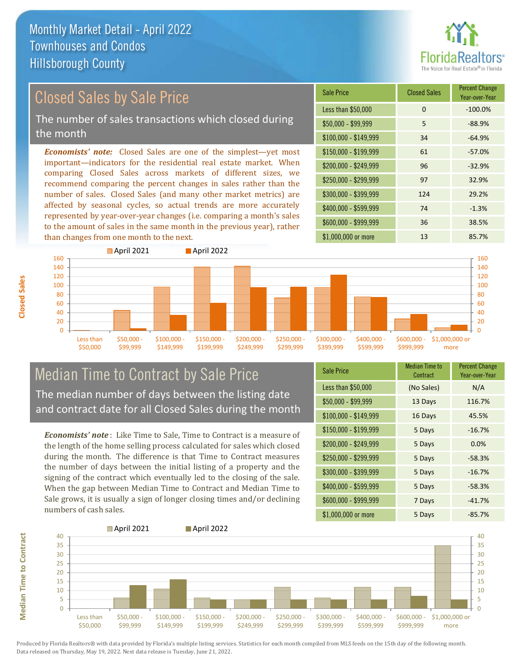

### Closed Sales by Sale Price

The number of sales transactions which closed during the month

*Economists' note:* Closed Sales are one of the simplest—yet most important—indicators for the residential real estate market. When comparing Closed Sales across markets of different sizes, we recommend comparing the percent changes in sales rather than the number of sales. Closed Sales (and many other market metrics) are affected by seasonal cycles, so actual trends are more accurately represented by year-over-year changes (i.e. comparing a month's sales to the amount of sales in the same month in the previous year), rather than changes from one month to the next.





#### Median Time to Contract by Sale Price The median number of days between the listing date and contract date for all Closed Sales during the month

*Economists' note* : Like Time to Sale, Time to Contract is a measure of the length of the home selling process calculated for sales which closed during the month. The difference is that Time to Contract measures the number of days between the initial listing of a property and the signing of the contract which eventually led to the closing of the sale. When the gap between Median Time to Contract and Median Time to Sale grows, it is usually a sign of longer closing times and/or declining numbers of cash sales.

| <b>Sale Price</b>     | <b>Median Time to</b><br>Contract | <b>Percent Change</b><br>Year-over-Year |
|-----------------------|-----------------------------------|-----------------------------------------|
| Less than \$50,000    | (No Sales)                        | N/A                                     |
| $$50,000 - $99,999$   | 13 Days                           | 116.7%                                  |
| $$100,000 - $149,999$ | 16 Days                           | 45.5%                                   |
| $$150,000 - $199,999$ | 5 Days                            | $-16.7%$                                |
| \$200,000 - \$249,999 | 5 Days                            | 0.0%                                    |
| \$250,000 - \$299,999 | 5 Days                            | $-58.3%$                                |
| \$300,000 - \$399,999 | 5 Days                            | $-16.7%$                                |
| \$400,000 - \$599,999 | 5 Days                            | $-58.3%$                                |
| \$600,000 - \$999,999 | 7 Days                            | $-41.7%$                                |
| \$1,000,000 or more   | 5 Days                            | $-85.7%$                                |



**Closed Sales**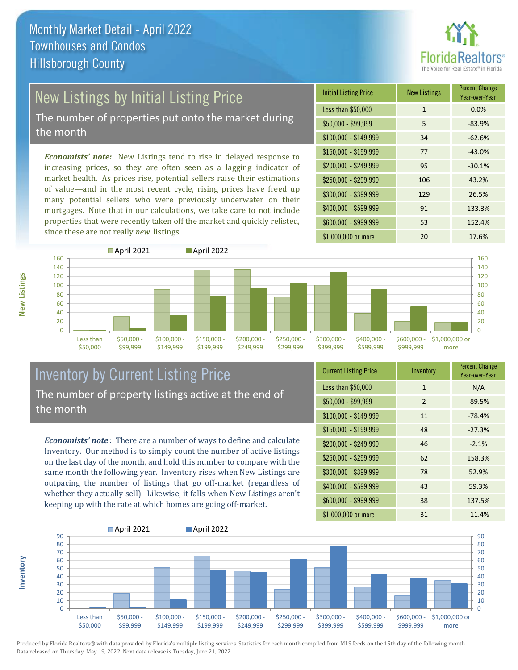

# New Listings by Initial Listing Price

The number of properties put onto the market during the month

*Economists' note:* New Listings tend to rise in delayed response to increasing prices, so they are often seen as a lagging indicator of market health. As prices rise, potential sellers raise their estimations of value—and in the most recent cycle, rising prices have freed up many potential sellers who were previously underwater on their mortgages. Note that in our calculations, we take care to not include properties that were recently taken off the market and quickly relisted, since these are not really *new* listings.

| <b>Initial Listing Price</b> | <b>New Listings</b> | <b>Percent Change</b><br>Year-over-Year |
|------------------------------|---------------------|-----------------------------------------|
| Less than \$50,000           | $\mathbf{1}$        | 0.0%                                    |
| $$50,000 - $99,999$          | 5                   | $-83.9%$                                |
| $$100,000 - $149,999$        | 34                  | $-62.6%$                                |
| $$150,000 - $199,999$        | 77                  | $-43.0%$                                |
| \$200,000 - \$249,999        | 95                  | $-30.1%$                                |
| $$250,000 - $299,999$        | 106                 | 43.2%                                   |
| \$300,000 - \$399,999        | 129                 | 26.5%                                   |
| \$400,000 - \$599,999        | 91                  | 133.3%                                  |
| \$600,000 - \$999,999        | 53                  | 152.4%                                  |
| \$1,000,000 or more          | 20                  | 17.6%                                   |



### Inventory by Current Listing Price The number of property listings active at the end of the month

*Economists' note* : There are a number of ways to define and calculate Inventory. Our method is to simply count the number of active listings on the last day of the month, and hold this number to compare with the same month the following year. Inventory rises when New Listings are outpacing the number of listings that go off-market (regardless of whether they actually sell). Likewise, it falls when New Listings aren't keeping up with the rate at which homes are going off-market.

| <b>Current Listing Price</b> | Inventory    | <b>Percent Change</b><br>Year-over-Year |
|------------------------------|--------------|-----------------------------------------|
| Less than \$50,000           | $\mathbf{1}$ | N/A                                     |
| $$50,000 - $99,999$          | 2            | $-89.5%$                                |
| $$100,000 - $149,999$        | 11           | $-78.4%$                                |
| \$150,000 - \$199,999        | 48           | $-27.3%$                                |
| \$200,000 - \$249,999        | 46           | $-2.1%$                                 |
| \$250,000 - \$299,999        | 62           | 158.3%                                  |
| \$300,000 - \$399,999        | 78           | 52.9%                                   |
| \$400,000 - \$599,999        | 43           | 59.3%                                   |
| \$600,000 - \$999,999        | 38           | 137.5%                                  |
| \$1,000,000 or more          | 31           | $-11.4%$                                |



Produced by Florida Realtors® with data provided by Florida's multiple listing services. Statistics for each month compiled from MLS feeds on the 15th day of the following month. Data released on Thursday, May 19, 2022. Next data release is Tuesday, June 21, 2022.

**Inventory**